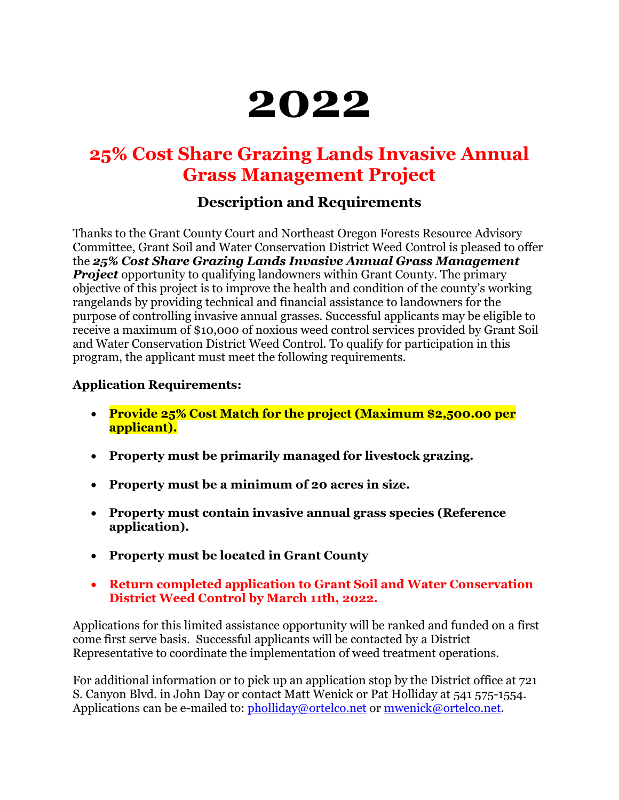# **2022**

## **25% Cost Share Grazing Lands Invasive Annual Grass Management Project**

## **Description and Requirements**

Thanks to the Grant County Court and Northeast Oregon Forests Resource Advisory Committee, Grant Soil and Water Conservation District Weed Control is pleased to offer the *25% Cost Share Grazing Lands Invasive Annual Grass Management Project* opportunity to qualifying landowners within Grant County. The primary objective of this project is to improve the health and condition of the county's working rangelands by providing technical and financial assistance to landowners for the purpose of controlling invasive annual grasses. Successful applicants may be eligible to receive a maximum of \$10,000 of noxious weed control services provided by Grant Soil and Water Conservation District Weed Control. To qualify for participation in this program, the applicant must meet the following requirements.

#### **Application Requirements:**

- **Provide 25% Cost Match for the project (Maximum \$2,500.00 per applicant).**
- **Property must be primarily managed for livestock grazing.**
- **Property must be a minimum of 20 acres in size.**
- **Property must contain invasive annual grass species (Reference application).**
- **Property must be located in Grant County**
- **Return completed application to Grant Soil and Water Conservation District Weed Control by March 11th, 2022.**

Applications for this limited assistance opportunity will be ranked and funded on a first come first serve basis. Successful applicants will be contacted by a District Representative to coordinate the implementation of weed treatment operations.

For additional information or to pick up an application stop by the District office at 721 S. Canyon Blvd. in John Day or contact Matt Wenick or Pat Holliday at 541 575-1554. Applications can be e-mailed to: [pholliday@ortelco.net](mailto:pholliday@ortelco.net) or [mwenick@ortelco.net.](mailto:mwenick@ortelco.net)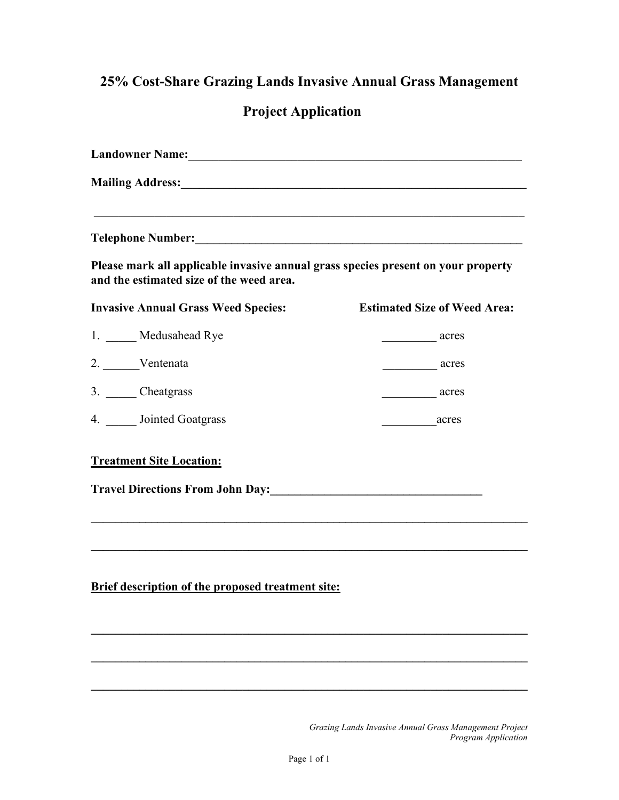## **25% Cost-Share Grazing Lands Invasive Annual Grass Management**

## **Project Application**

| Landowner Name:<br><u>Landowner Name:</u>                                    |                                     |                                                                                                                               |
|------------------------------------------------------------------------------|-------------------------------------|-------------------------------------------------------------------------------------------------------------------------------|
|                                                                              |                                     | Please mark all applicable invasive annual grass species present on your property<br>and the estimated size of the weed area. |
| <b>Invasive Annual Grass Weed Species:</b>                                   | <b>Estimated Size of Weed Area:</b> |                                                                                                                               |
| 1. ____ Medusahead Rye                                                       | acres                               |                                                                                                                               |
| 2. Ventenata                                                                 | acres                               |                                                                                                                               |
| 3. Cheatgrass                                                                | acres                               |                                                                                                                               |
| 4. <b>Jointed Goatgrass</b>                                                  | example acres                       |                                                                                                                               |
| <b>Treatment Site Location:</b>                                              |                                     |                                                                                                                               |
| Travel Directions From John Day: 1988. [19] Travel Directions From John Day: |                                     |                                                                                                                               |
|                                                                              |                                     |                                                                                                                               |
| <b>Brief description of the proposed treatment site:</b>                     |                                     |                                                                                                                               |
|                                                                              |                                     |                                                                                                                               |
|                                                                              |                                     |                                                                                                                               |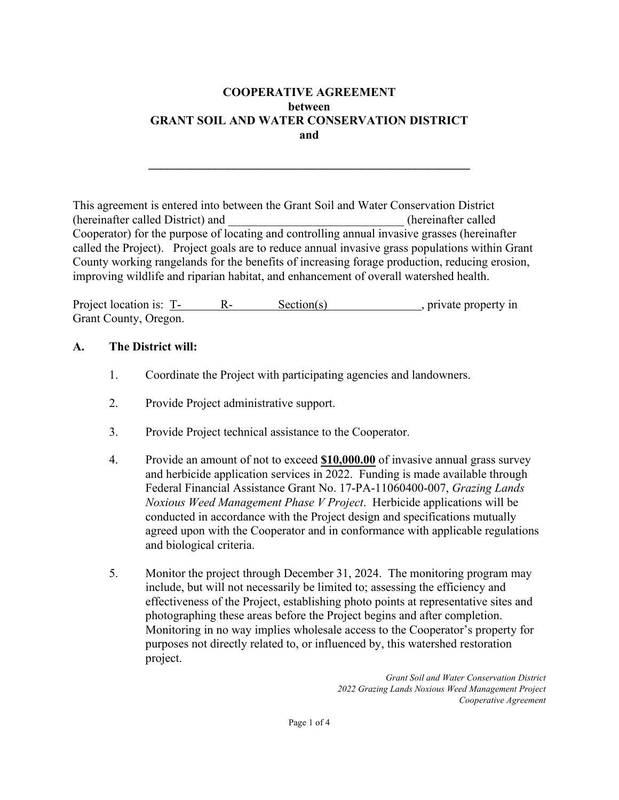#### **COOPERATIVE AGREEMENT between GRANT SOIL AND WATER CONSERVATION DISTRICT and**

**\_\_\_\_\_\_\_\_\_\_\_\_\_\_\_\_\_\_\_\_\_\_\_\_\_\_\_\_\_\_\_\_\_\_\_\_\_\_\_\_\_\_\_\_\_\_\_\_\_\_\_\_\_**

This agreement is entered into between the Grant Soil and Water Conservation District (hereinafter called District) and \_\_\_\_\_\_\_\_\_\_\_\_\_\_\_\_\_\_\_\_\_\_\_\_\_\_\_\_\_ (hereinafter called Cooperator) for the purpose of locating and controlling annual invasive grasses (hereinafter called the Project). Project goals are to reduce annual invasive grass populations within Grant County working rangelands for the benefits of increasing forage production, reducing erosion, improving wildlife and riparian habitat, and enhancement of overall watershed health.

Project location is: T- R- Section(s), private property in Grant County, Oregon.

#### **A. The District will:**

- 1. Coordinate the Project with participating agencies and landowners.
- 2. Provide Project administrative support.
- 3. Provide Project technical assistance to the Cooperator.
- 4. Provide an amount of not to exceed **\$10,000.00** of invasive annual grass survey and herbicide application services in 2022. Funding is made available through Federal Financial Assistance Grant No. 17-PA-11060400-007, *Grazing Lands Noxious Weed Management Phase V Project*. Herbicide applications will be conducted in accordance with the Project design and specifications mutually agreed upon with the Cooperator and in conformance with applicable regulations and biological criteria.
- 5. Monitor the project through December 31, 2024. The monitoring program may include, but will not necessarily be limited to; assessing the efficiency and effectiveness of the Project, establishing photo points at representative sites and photographing these areas before the Project begins and after completion. Monitoring in no way implies wholesale access to the Cooperator's property for purposes not directly related to, or influenced by, this watershed restoration project.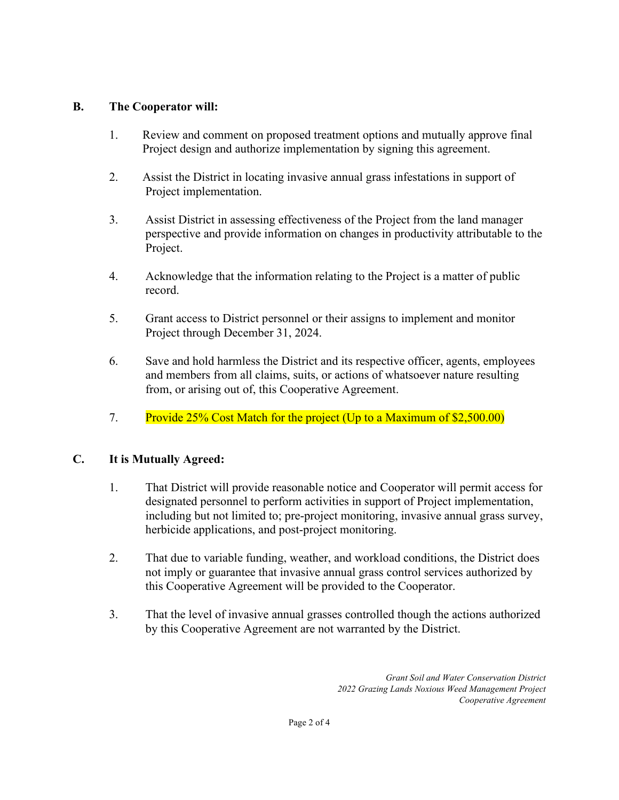#### **B. The Cooperator will:**

- 1. Review and comment on proposed treatment options and mutually approve final Project design and authorize implementation by signing this agreement.
- 2. Assist the District in locating invasive annual grass infestations in support of Project implementation.
- 3. Assist District in assessing effectiveness of the Project from the land manager perspective and provide information on changes in productivity attributable to the Project.
- 4. Acknowledge that the information relating to the Project is a matter of public record.
- 5. Grant access to District personnel or their assigns to implement and monitor Project through December 31, 2024.
- 6. Save and hold harmless the District and its respective officer, agents, employees and members from all claims, suits, or actions of whatsoever nature resulting from, or arising out of, this Cooperative Agreement.
- 7. Provide 25% Cost Match for the project (Up to a Maximum of \$2,500.00)

#### **C. It is Mutually Agreed:**

- 1. That District will provide reasonable notice and Cooperator will permit access for designated personnel to perform activities in support of Project implementation, including but not limited to; pre-project monitoring, invasive annual grass survey, herbicide applications, and post-project monitoring.
- 2. That due to variable funding, weather, and workload conditions, the District does not imply or guarantee that invasive annual grass control services authorized by this Cooperative Agreement will be provided to the Cooperator.
- 3. That the level of invasive annual grasses controlled though the actions authorized by this Cooperative Agreement are not warranted by the District.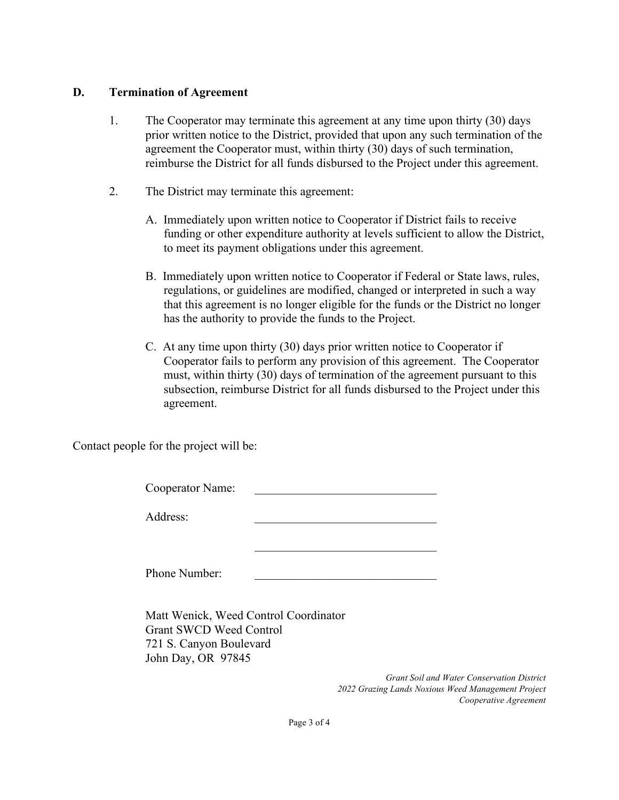#### **D. Termination of Agreement**

- 1. The Cooperator may terminate this agreement at any time upon thirty (30) days prior written notice to the District, provided that upon any such termination of the agreement the Cooperator must, within thirty (30) days of such termination, reimburse the District for all funds disbursed to the Project under this agreement.
- 2. The District may terminate this agreement:
	- A. Immediately upon written notice to Cooperator if District fails to receive funding or other expenditure authority at levels sufficient to allow the District, to meet its payment obligations under this agreement.
	- B. Immediately upon written notice to Cooperator if Federal or State laws, rules, regulations, or guidelines are modified, changed or interpreted in such a way that this agreement is no longer eligible for the funds or the District no longer has the authority to provide the funds to the Project.
	- C. At any time upon thirty (30) days prior written notice to Cooperator if Cooperator fails to perform any provision of this agreement. The Cooperator must, within thirty (30) days of termination of the agreement pursuant to this subsection, reimburse District for all funds disbursed to the Project under this agreement.

Contact people for the project will be:

| Cooperator Name: |  |
|------------------|--|
| Address:         |  |
|                  |  |
|                  |  |
| Phone Number:    |  |
| _____<br>___     |  |

Matt Wenick, Weed Control Coordinator Grant SWCD Weed Control 721 S. Canyon Boulevard John Day, OR 97845